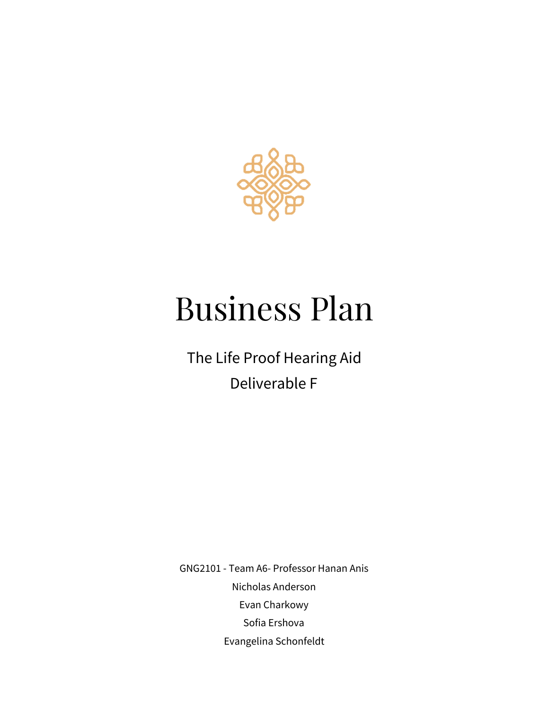

# Business Plan

The Life Proof Hearing Aid Deliverable F

GNG2101 - Team A6- Professor Hanan Anis Nicholas Anderson Evan Charkowy Sofia Ershova Evangelina Schonfeldt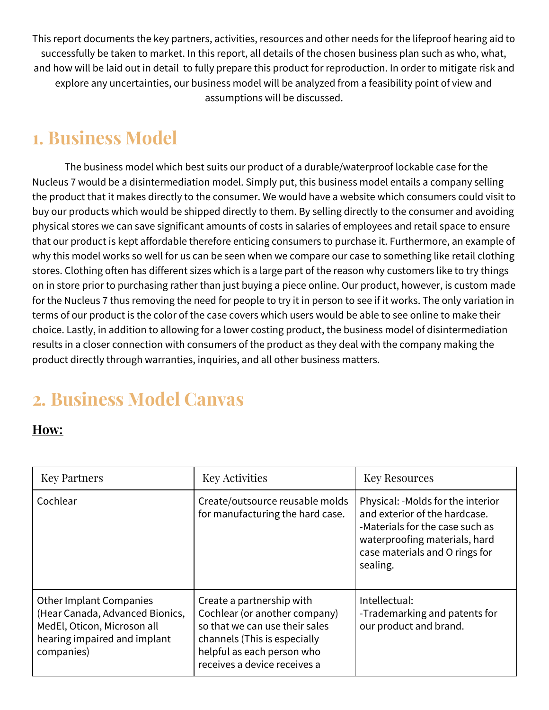This report documents the key partners, activities, resources and other needs for the lifeproof hearing aid to successfully be taken to market. In this report, all details of the chosen business plan such as who, what, and how will be laid out in detail to fully prepare this product for reproduction. In order to mitigate risk and explore any uncertainties, our business model will be analyzed from a feasibility point of view and assumptions will be discussed.

### **1. Business Model**

The business model which best suits our product of a durable/waterproof lockable case for the Nucleus 7 would be a disintermediation model. Simply put, this business model entails a company selling the product that it makes directly to the consumer. We would have a website which consumers could visit to buy our products which would be shipped directly to them. By selling directly to the consumer and avoiding physical stores we can save significant amounts of costs in salaries of employees and retail space to ensure that our product is kept affordable therefore enticing consumers to purchase it. Furthermore, an example of why this model works so well for us can be seen when we compare our case to something like retail clothing stores. Clothing often has different sizes which is a large part of the reason why customers like to try things on in store prior to purchasing rather than just buying a piece online. Our product, however, is custom made for the Nucleus 7 thus removing the need for people to try it in person to see if it works. The only variation in terms of our product is the color of the case covers which users would be able to see online to make their choice. Lastly, in addition to allowing for a lower costing product, the business model of disintermediation results in a closer connection with consumers of the product as they deal with the company making the product directly through warranties, inquiries, and all other business matters.

# **2. Business Model Canvas**

#### **How:**

| <b>Key Partners</b>                                                                                                                            | <b>Key Activities</b>                                                                                                                                                                      | <b>Key Resources</b>                                                                                                                                                                 |
|------------------------------------------------------------------------------------------------------------------------------------------------|--------------------------------------------------------------------------------------------------------------------------------------------------------------------------------------------|--------------------------------------------------------------------------------------------------------------------------------------------------------------------------------------|
| Cochlear                                                                                                                                       | Create/outsource reusable molds<br>for manufacturing the hard case.                                                                                                                        | Physical: -Molds for the interior<br>and exterior of the hardcase.<br>-Materials for the case such as<br>waterproofing materials, hard<br>case materials and O rings for<br>sealing. |
| <b>Other Implant Companies</b><br>(Hear Canada, Advanced Bionics,<br>MedEl, Oticon, Microson all<br>hearing impaired and implant<br>companies) | Create a partnership with<br>Cochlear (or another company)<br>so that we can use their sales<br>channels (This is especially<br>helpful as each person who<br>receives a device receives a | Intellectual:<br>-Trademarking and patents for<br>our product and brand.                                                                                                             |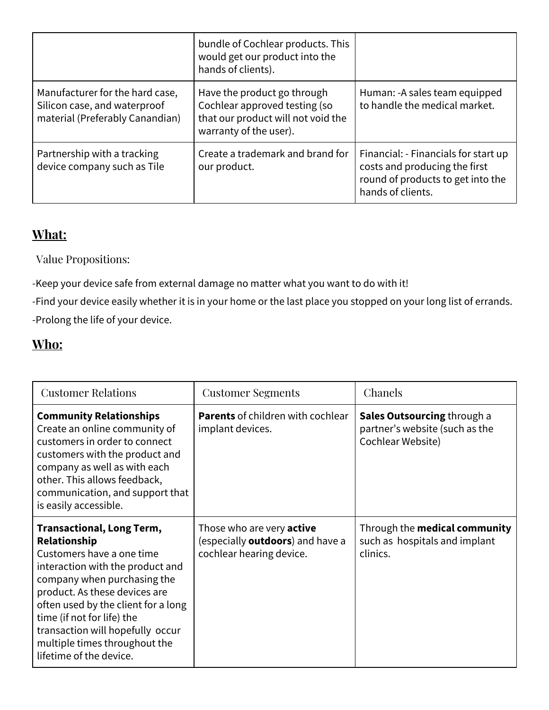|                                                                                                    | bundle of Cochlear products. This<br>would get our product into the<br>hands of clients).                                    |                                                                                                                                 |
|----------------------------------------------------------------------------------------------------|------------------------------------------------------------------------------------------------------------------------------|---------------------------------------------------------------------------------------------------------------------------------|
| Manufacturer for the hard case,<br>Silicon case, and waterproof<br>material (Preferably Canandian) | Have the product go through<br>Cochlear approved testing (so<br>that our product will not void the<br>warranty of the user). | Human: - A sales team equipped<br>to handle the medical market.                                                                 |
| Partnership with a tracking<br>device company such as Tile                                         | Create a trademark and brand for<br>our product.                                                                             | Financial: - Financials for start up<br>costs and producing the first<br>round of products to get into the<br>hands of clients. |

#### **What:**

Value Propositions:

-Keep your device safe from external damage no matter what you want to do with it!

-Find your device easily whether it is in your home or the last place you stopped on your long list of errands. -Prolong the life of your device.

#### **Who:**

| <b>Customer Relations</b>                                                                                                                                                                                                                                                                                                                              | <b>Customer Segments</b>                                                                                 | Chanels                                                                                   |
|--------------------------------------------------------------------------------------------------------------------------------------------------------------------------------------------------------------------------------------------------------------------------------------------------------------------------------------------------------|----------------------------------------------------------------------------------------------------------|-------------------------------------------------------------------------------------------|
| <b>Community Relationships</b><br>Create an online community of<br>customers in order to connect<br>customers with the product and<br>company as well as with each<br>other. This allows feedback,<br>communication, and support that<br>is easily accessible.                                                                                         | <b>Parents</b> of children with cochlear<br>implant devices.                                             | <b>Sales Outsourcing through a</b><br>partner's website (such as the<br>Cochlear Website) |
| <b>Transactional, Long Term,</b><br>Relationship<br>Customers have a one time<br>interaction with the product and<br>company when purchasing the<br>product. As these devices are<br>often used by the client for a long<br>time (if not for life) the<br>transaction will hopefully occur<br>multiple times throughout the<br>lifetime of the device. | Those who are very <b>active</b><br>(especially <b>outdoors</b> ) and have a<br>cochlear hearing device. | Through the medical community<br>such as hospitals and implant<br>clinics.                |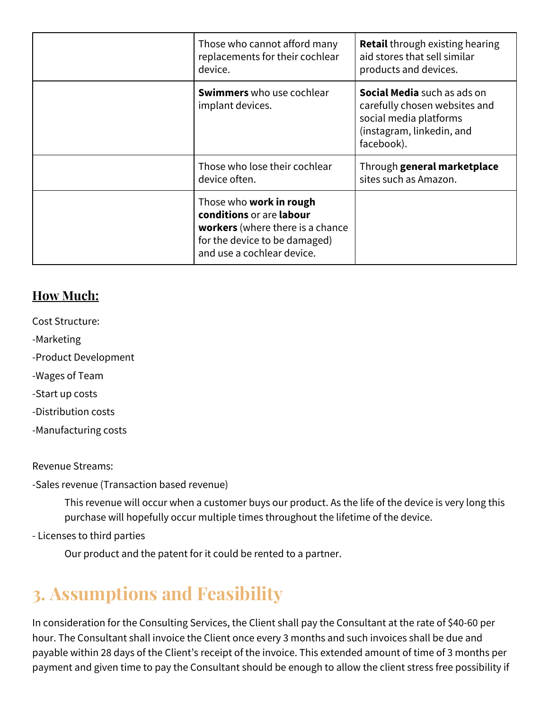| Those who cannot afford many<br>replacements for their cochlear<br>device.                                                                                           | <b>Retail</b> through existing hearing<br>aid stores that sell similar<br>products and devices.                                          |
|----------------------------------------------------------------------------------------------------------------------------------------------------------------------|------------------------------------------------------------------------------------------------------------------------------------------|
| <b>Swimmers</b> who use cochlear<br>implant devices.                                                                                                                 | <b>Social Media</b> such as ads on<br>carefully chosen websites and<br>social media platforms<br>(instagram, linkedin, and<br>facebook). |
| Those who lose their cochlear<br>device often.                                                                                                                       | Through general marketplace<br>sites such as Amazon.                                                                                     |
| Those who <b>work in rough</b><br>conditions or are labour<br><b>workers</b> (where there is a chance<br>for the device to be damaged)<br>and use a cochlear device. |                                                                                                                                          |

#### **How Much:**

- Cost Structure:
- -Marketing
- -Product Development
- -Wages of Team
- -Start up costs
- -Distribution costs
- -Manufacturing costs

Revenue Streams:

-Sales revenue (Transaction based revenue)

This revenue will occur when a customer buys our product. As the life of the device is very long this purchase will hopefully occur multiple times throughout the lifetime of the device.

- Licenses to third parties

Our product and the patent for it could be rented to a partner.

### **3. Assumptions and Feasibility**

In consideration for the Consulting Services, the Client shall pay the Consultant at the rate of \$40-60 per hour. The Consultant shall invoice the Client once every 3 months and such invoices shall be due and payable within 28 days of the Client's receipt of the invoice. This extended amount of time of 3 months per payment and given time to pay the Consultant should be enough to allow the client stress free possibility if